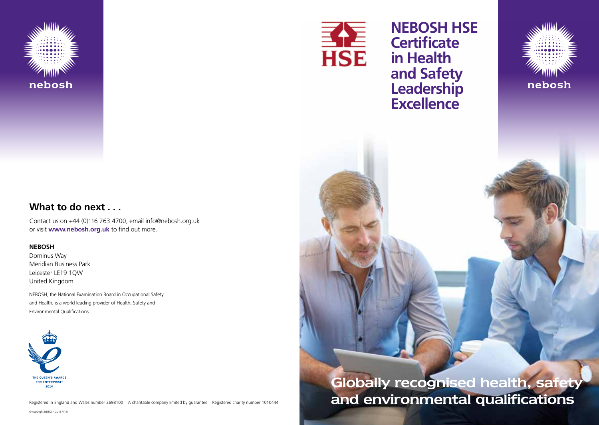

### **What to do next . . .**

Contact us on +44 (0)116 263 4700, email info@nebosh.org.uk or visit **www.nebosh.org.uk** to find out more.

#### **NEBOSH**

Dominus Way Meridian Business Park Leicester LE19 1QW United Kingdom

NEBOSH, the National Examination Board in Occupational Safety and Health, is a world leading provider of Health, Safety and Environmental Qualifications.



Registered in England and Wales number 2698100 A charitable company limited by guarantee Registered charity number 1010444

© copyright NEBOSH 2018 V1.0



## **NEBOSH HSE Certificate in Health and Safety Leadership Excellence**



# Globally recognised health, safety and environmental qualifications